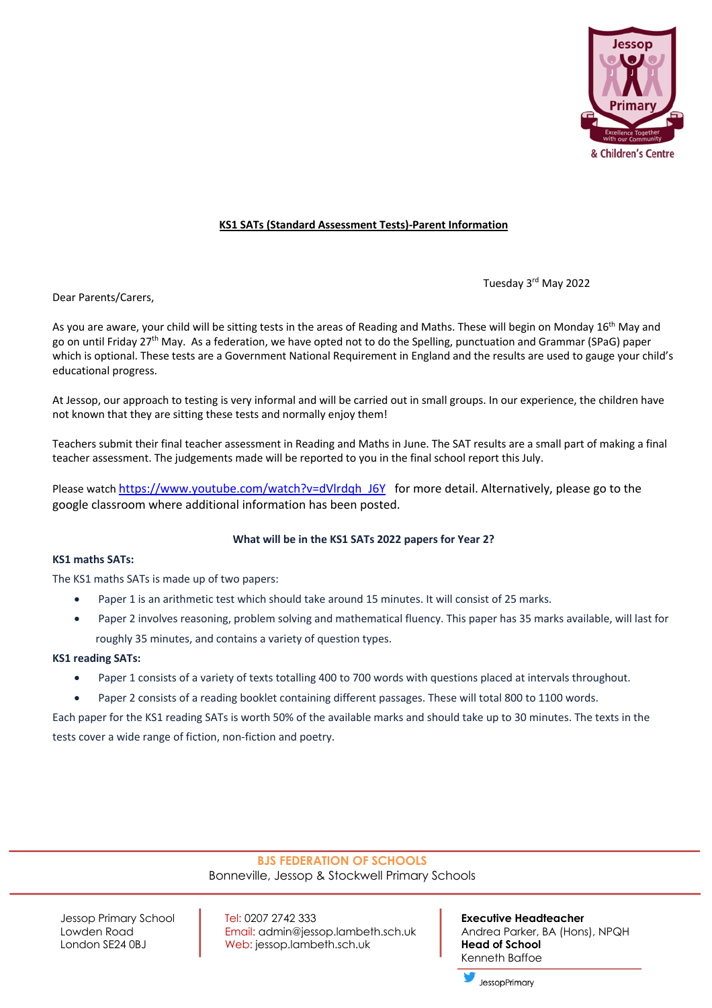

## **KS1 SATs (Standard Assessment Tests)-Parent Information**

Tuesday 3rd May 2022

Dear Parents/Carers,

As you are aware, your child will be sitting tests in the areas of Reading and Maths. These will begin on Monday 16<sup>th</sup> May and go on until Friday 27<sup>th</sup> May. As a federation, we have opted not to do the Spelling, punctuation and Grammar (SPaG) paper which is optional. These tests are a Government National Requirement in England and the results are used to gauge your child's educational progress.

At Jessop, our approach to testing is very informal and will be carried out in small groups. In our experience, the children have not known that they are sitting these tests and normally enjoy them!

Teachers submit their final teacher assessment in Reading and Maths in June. The SAT results are a small part of making a final teacher assessment. The judgements made will be reported to you in the final school report this July.

Please watch https://www.youtube.com/watch?v=dVlrdqh\_J6Y for more detail. Alternatively, please go to the google classroom where additional information has been posted.

#### **What will be in the KS1 SATs 2022 papers for Year 2?**

### **KS1 maths SATs:**

The KS1 maths SATs is made up of two papers:

- Paper 1 is an arithmetic test which should take around 15 minutes. It will consist of 25 marks.
- Paper 2 involves reasoning, problem solving and mathematical fluency. This paper has 35 marks available, will last for roughly 35 minutes, and contains a variety of question types.

#### **KS1 reading SATs:**

- Paper 1 consists of a variety of texts totalling 400 to 700 words with questions placed at intervals throughout.
- Paper 2 consists of a reading booklet containing different passages. These will total 800 to 1100 words.

Each paper for the KS1 reading SATs is worth 50% of the available marks and should take up to 30 minutes. The texts in the tests cover a wide range of fiction, non-fiction and poetry.

# **BJS FEDERATION OF SCHOOLS**

Bonneville, Jessop & Stockwell Primary Schools

Jessop Primary School Tel: 0207 2742 333 **Executive Headteacher** Lowden Road **Email: admin@jessop.lambeth.sch.uk** Andrea Parker, BA (Hons), NPQH London SE24 0BJ **Web:** jessop.lambeth.sch.uk **Head of School** 

Kenneth Baffoe

JessopPrimary